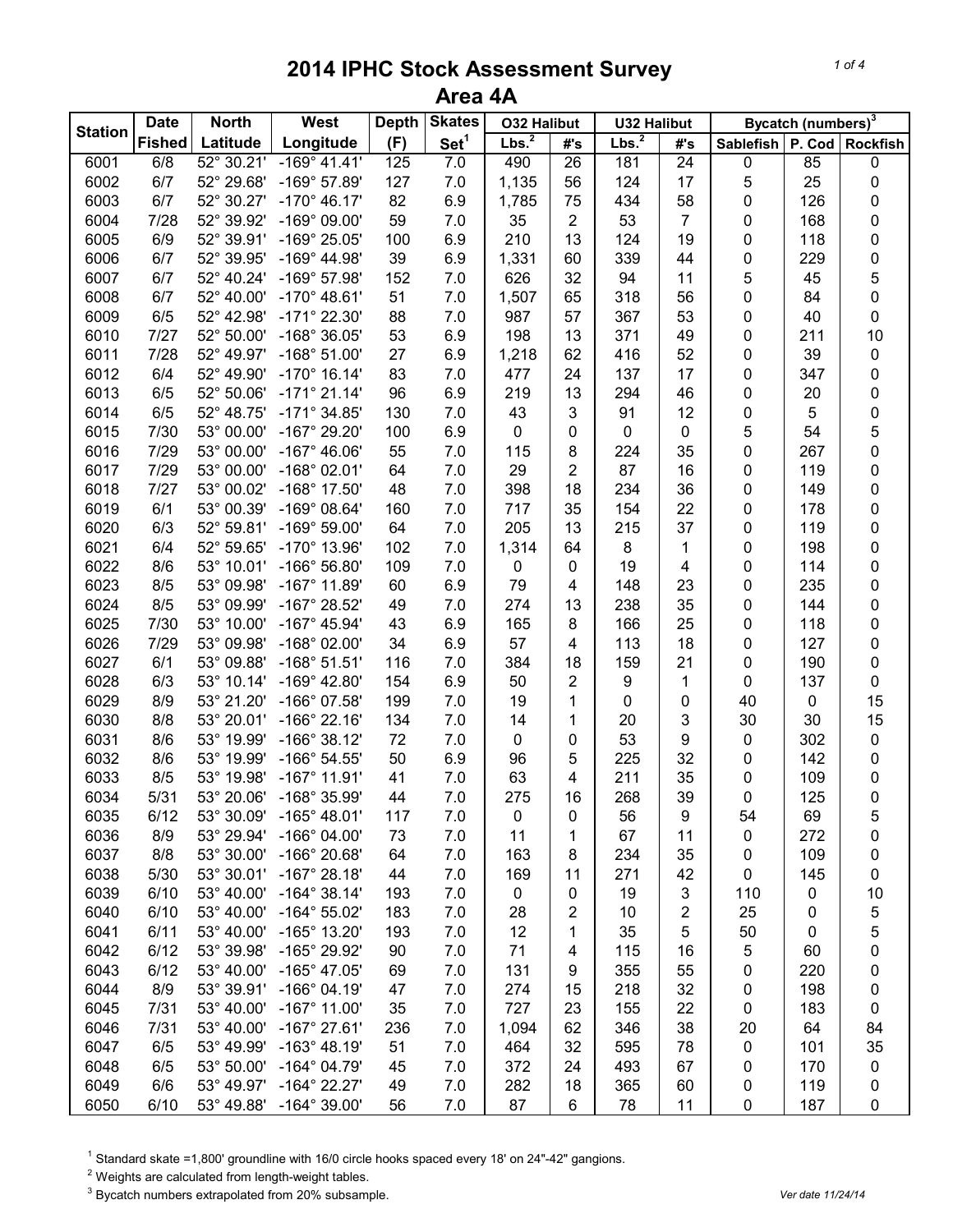|                | <b>Date</b>   | <b>North</b>       | West                  | <b>Depth</b> | <b>Skates</b>    | <b>032 Halibut</b> |                 | <b>U32 Halibut</b> |                         | Bycatch (numbers) <sup>3</sup> |        |                     |  |
|----------------|---------------|--------------------|-----------------------|--------------|------------------|--------------------|-----------------|--------------------|-------------------------|--------------------------------|--------|---------------------|--|
| <b>Station</b> | <b>Fished</b> | Latitude           | Longitude             | (F)          | Set <sup>1</sup> | Lbs. <sup>2</sup>  | #'s             | Lbs. <sup>2</sup>  | #'s                     | <b>Sablefish</b>               | P. Cod | <b>Rockfish</b>     |  |
| 6001           | 6/8           | $52^{\circ}30.21'$ | $-169°$ 41.41'        | 125          | 7.0              | 490                | $\overline{26}$ | 181                | $\overline{24}$         | $\pmb{0}$                      | 85     | 0                   |  |
| 6002           | 6/7           | 52° 29.68'         | $-169°57.89'$         | 127          | 7.0              | 1,135              | 56              | 124                | 17                      | 5                              | 25     | 0                   |  |
| 6003           | 6/7           | 52° 30.27'         | $-170^{\circ}$ 46.17' | 82           | 6.9              | 1,785              | 75              | 434                | 58                      | 0                              | 126    | 0                   |  |
| 6004           | 7/28          | 52° 39.92'         | -169° 09.00'          | 59           | 7.0              | 35                 | $\overline{2}$  | 53                 | $\overline{7}$          | 0                              | 168    | 0                   |  |
| 6005           | 6/9           | 52° 39.91'         | -169° 25.05'          | 100          | 6.9              | 210                | 13              | 124                | 19                      | 0                              | 118    | 0                   |  |
| 6006           | 6/7           | 52° 39.95'         | $-169^{\circ}$ 44.98' | 39           | 6.9              | 1,331              | 60              | 339                | 44                      | $\pmb{0}$                      | 229    | $\mathbf 0$         |  |
| 6007           | 6/7           | 52° 40.24'         | -169° 57.98'          | 152          | 7.0              | 626                | 32              | 94                 | 11                      | 5                              | 45     | 5                   |  |
| 6008           | 6/7           | 52° 40.00'         | $-170^{\circ}$ 48.61' | 51           | 7.0              | 1,507              | 65              | 318                | 56                      | 0                              | 84     | $\mathbf 0$         |  |
| 6009           | 6/5           | 52° 42.98'         | -171° 22.30'          | 88           | 7.0              | 987                | 57              | 367                | 53                      | 0                              | 40     | $\mathsf{O}\xspace$ |  |
| 6010           | 7/27          | 52° 50.00'         | $-168°36.05'$         | 53           | 6.9              | 198                | 13              | 371                | 49                      | 0                              | 211    | 10                  |  |
| 6011           | 7/28          | 52° 49.97'         | $-168°51.00'$         | 27           | 6.9              | 1,218              | 62              | 416                | 52                      | 0                              | 39     | $\pmb{0}$           |  |
| 6012           | 6/4           | 52° 49.90'         | $-170^{\circ}$ 16.14' | 83           | 7.0              | 477                | 24              | 137                | 17                      | 0                              | 347    | 0                   |  |
| 6013           | 6/5           | 52° 50.06'         | $-171^{\circ}$ 21.14' | 96           | 6.9              | 219                | 13              | 294                | 46                      | 0                              | 20     | 0                   |  |
| 6014           | 6/5           | 52° 48.75'         | $-171^{\circ}$ 34.85' | 130          | 7.0              | 43                 | $\mathbf{3}$    | 91                 | 12                      | 0                              | 5      | $\mathbf 0$         |  |
| 6015           | 7/30          | 53° 00.00'         | -167° 29.20'          | 100          | 6.9              | 0                  | 0               | $\pmb{0}$          | $\pmb{0}$               | 5                              | 54     | 5                   |  |
| 6016           | 7/29          | 53° 00.00'         | $-167^{\circ}$ 46.06' | 55           | 7.0              | 115                | 8               | 224                | 35                      | 0                              | 267    | 0                   |  |
| 6017           | 7/29          | 53° 00.00'         | $-168^{\circ}$ 02.01' | 64           | 7.0              | 29                 | $\overline{2}$  | 87                 | 16                      | 0                              | 119    | 0                   |  |
| 6018           | 7/27          | 53° 00.02'         | $-168^\circ$ 17.50'   | 48           | 7.0              | 398                | 18              | 234                | 36                      | 0                              | 149    | 0                   |  |
| 6019           | 6/1           | 53° 00.39'         | $-169°08.64'$         | 160          | 7.0              | 717                | 35              | 154                | 22                      | 0                              | 178    | 0                   |  |
| 6020           | 6/3           | 52° 59.81'         | $-169°59.00'$         | 64           | 7.0              | 205                | 13              | 215                | 37                      | 0                              | 119    | 0                   |  |
| 6021           | 6/4           | 52° 59.65'         | -170° 13.96'          | 102          | $7.0$            | 1,314              | 64              | 8                  | 1                       | 0                              | 198    | 0                   |  |
| 6022           | 8/6           | 53° 10.01'         | $-166^{\circ} 56.80'$ | 109          | $7.0$            | 0                  | 0               | 19                 | $\overline{\mathbf{4}}$ | 0                              | 114    | 0                   |  |
| 6023           | 8/5           | 53° 09.98'         | $-167^\circ$ 11.89'   | 60           | 6.9              | 79                 | 4               | 148                | 23                      | 0                              | 235    | 0                   |  |
| 6024           | 8/5           | 53° 09.99'         | -167° 28.52'          | 49           | 7.0              | 274                | 13              | 238                | 35                      | 0                              | 144    | 0                   |  |
| 6025           | 7/30          | 53° 10.00'         | $-167^{\circ}$ 45.94' | 43           | 6.9              | 165                | 8               | 166                | 25                      | 0                              | 118    | 0                   |  |
| 6026           | 7/29          | 53° 09.98'         | $-168^{\circ}$ 02.00' | 34           | 6.9              | 57                 | 4               | 113                | 18                      | 0                              | 127    | 0                   |  |
| 6027           | 6/1           | 53° 09.88'         | $-168°51.51'$         | 116          | 7.0              | 384                | 18              | 159                | 21                      | 0                              | 190    | $\mathsf{O}\xspace$ |  |
| 6028           | 6/3           | 53° 10.14'         | $-169^{\circ}$ 42.80' | 154          | 6.9              | 50                 | $\overline{2}$  | 9                  | 1                       | 0                              | 137    | $\pmb{0}$           |  |
| 6029           | 8/9           | 53° 21.20'         | -166° 07.58'          | 199          | 7.0              | 19                 | 1               | 0                  | 0                       | 40                             | 0      | 15                  |  |
| 6030           | 8/8           | 53° 20.01'         | $-166^{\circ}$ 22.16' | 134          | 7.0              | 14                 | 1               | 20                 | 3                       | 30                             | 30     | 15                  |  |
| 6031           | 8/6           | 53° 19.99'         | $-166°38.12'$         | 72           | 7.0              | 0                  | 0               | 53                 | 9                       | $\pmb{0}$                      | 302    | 0                   |  |
| 6032           | 8/6           | 53° 19.99'         | $-166^{\circ} 54.55'$ | 50           | 6.9              | 96                 | 5               | 225                | 32                      | 0                              | 142    | 0                   |  |
| 6033           | 8/5           | 53° 19.98'         | $-167^\circ$ 11.91'   | 41           | 7.0              | 63                 | 4               | 211                | 35                      | 0                              | 109    | 0                   |  |
| 6034           | 5/31          | 53° 20.06'         | -168° 35.99'          | 44           | 7.0              | 275                | 16              | 268                | 39                      | 0                              | 125    | $\pmb{0}$           |  |
| 6035           | 6/12          | 53° 30.09'         | $-165^{\circ}$ 48.01' | 117          | 7.0              | 0                  | 0               | 56                 | 9                       | 54                             | 69     | 5                   |  |
| 6036           | 8/9           | 53° 29.94'         | $-166^{\circ}$ 04.00' | 73           | 7.0              | 11                 | 1               | 67                 | 11                      | 0                              | 272    | 0                   |  |
| 6037           | 8/8           | 53° 30.00'         | -166° 20.68'          | 64           | 7.0              | 163                | 8               | 234                | 35                      | 0                              | 109    | 0                   |  |
| 6038           | 5/30          | 53° 30.01'         | $-167^\circ 28.18'$   | 44           | 7.0              | 169                | 11              | 271                | 42                      | $\pmb{0}$                      | 145    | 0                   |  |
| 6039           | 6/10          | 53° 40.00'         | $-164^{\circ}$ 38.14' | 193          | 7.0              | $\mathbf 0$        | 0               | 19                 | $\mathsf 3$             | 110                            | 0      | 10                  |  |
| 6040           | 6/10          | 53° 40.00'         | $-164^{\circ} 55.02'$ | 183          | 7.0              | 28                 | 2               | 10                 | 2                       | 25                             | 0      | 5                   |  |
| 6041           | 6/11          | 53° 40.00'         | -165° 13.20'          | 193          | 7.0              | 12                 | 1               | 35                 | 5                       | 50                             | 0      | 5                   |  |
| 6042           | 6/12          | 53° 39.98'         | -165° 29.92'          | 90           | 7.0              | 71                 | 4               | 115                | 16                      | 5                              | 60     | 0                   |  |
| 6043           | 6/12          | 53° 40.00'         | $-165^{\circ}$ 47.05' | 69           | 7.0              | 131                | 9               | 355                | 55                      | 0                              | 220    | 0                   |  |
| 6044           | 8/9           | 53° 39.91'         | $-166°04.19'$         | 47           | 7.0              | 274                | 15              | 218                | 32                      | 0                              | 198    | 0                   |  |
| 6045           | 7/31          | 53° 40.00'         | $-167^\circ$ 11.00'   | 35           | 7.0              | 727                | 23              | 155                | 22                      | 0                              | 183    | 0                   |  |
| 6046           | 7/31          | 53° 40.00'         | $-167^{\circ}$ 27.61' | 236          | 7.0              | 1,094              | 62              | 346                | 38                      | 20                             | 64     | 84                  |  |
| 6047           | 6/5           | 53° 49.99'         | $-163^{\circ}$ 48.19' | 51           | 7.0              | 464                | 32              | 595                | 78                      | 0                              | 101    | 35                  |  |
| 6048           | 6/5           | 53° 50.00'         | $-164^{\circ}$ 04.79' | 45           | 7.0              | 372                | 24              | 493                | 67                      | 0                              | 170    | 0                   |  |
| 6049           | 6/6           | 53° 49.97'         | $-164^{\circ}$ 22.27' | 49           | 7.0              | 282                | 18              | 365                | 60                      | 0                              | 119    | 0                   |  |
| 6050           | 6/10          | 53° 49.88'         | $-164^{\circ}$ 39.00' | 56           | $7.0$            | 87                 | 6               | 78                 | 11                      | $\pmb{0}$                      | 187    | $\pmb{0}$           |  |

<sup>1</sup> Standard skate =1,800' groundline with 16/0 circle hooks spaced every 18' on 24"-42" gangions.

Weights are calculated from length-weight tables.

<sup>3</sup> Bycatch numbers extrapolated from 20% subsample. *Vertal and the strape of the strape of the three filtheria* **control of the strape of the strape of the strape of the strape of the strape of the strape of the strape o**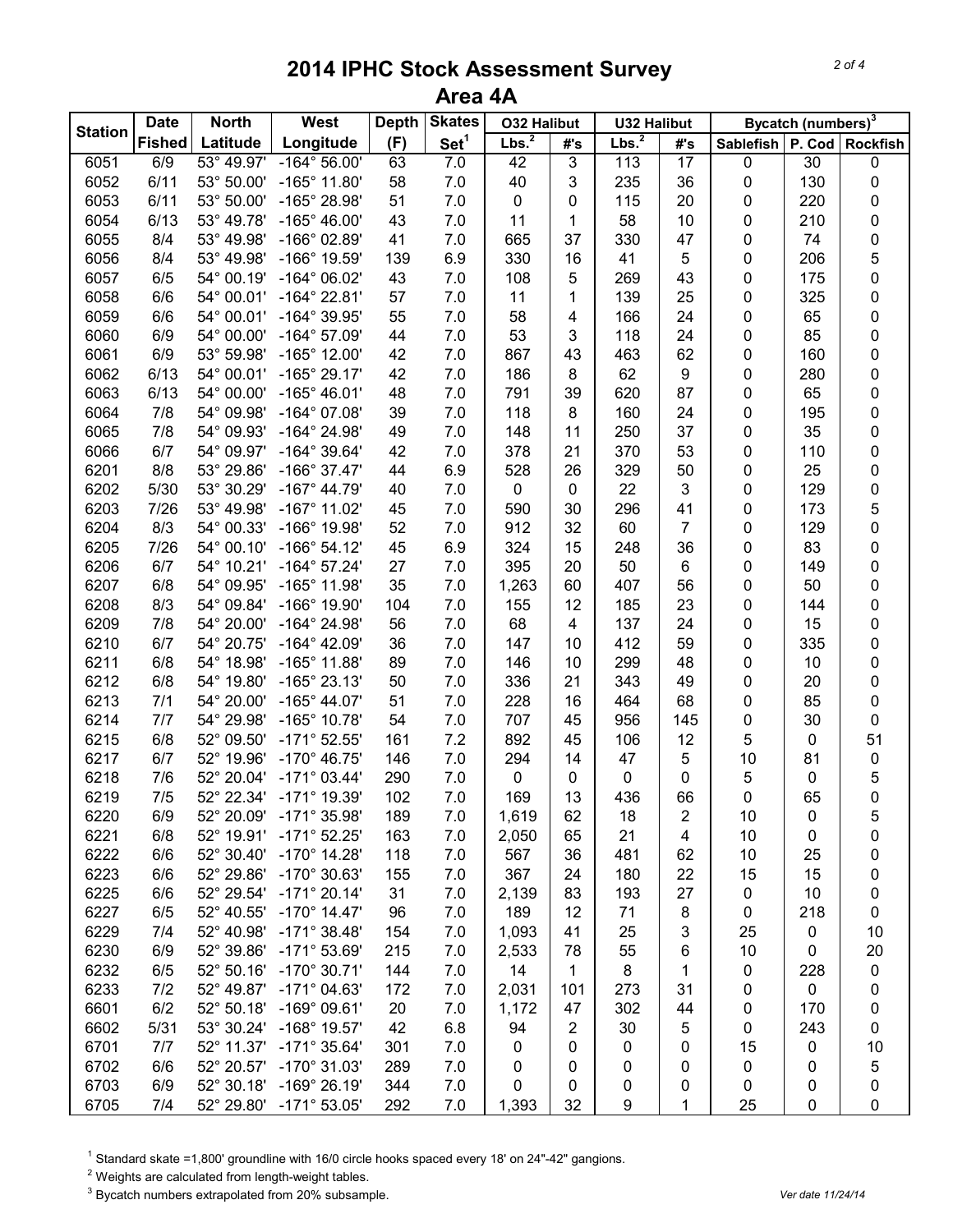| <b>Station</b> | <b>Date</b>   | <b>North</b> | <b>Skates</b><br>West<br><b>Depth</b><br><b>O32 Halibut</b><br><b>U32 Halibut</b> |           |                  | Bycatch (numbers) <sup>3</sup> |                |                   |                 |           |                  |                     |
|----------------|---------------|--------------|-----------------------------------------------------------------------------------|-----------|------------------|--------------------------------|----------------|-------------------|-----------------|-----------|------------------|---------------------|
|                | <b>Fished</b> | Latitude     | Longitude                                                                         | (F)       | Set <sup>1</sup> | Lbs. <sup>2</sup>              | #'s            | Lbs. <sup>2</sup> | #'s             | Sablefish |                  | P. Cod Rockfish     |
| 6051           | 6/9           | 53° 49.97'   | $-164^{\circ} 56.00'$                                                             | 63        | 7.0              | 42                             | $\overline{3}$ | 113               | $\overline{17}$ | $\pmb{0}$ | $\overline{30}$  | 0                   |
| 6052           | 6/11          | 53° 50.00'   | $-165^{\circ}$ 11.80'                                                             | 58        | 7.0              | 40                             | 3              | 235               | 36              | 0         | 130              | $\pmb{0}$           |
| 6053           | 6/11          | 53° 50.00'   | -165° 28.98'                                                                      | 51        | 7.0              | 0                              | 0              | 115               | 20              | 0         | 220              | 0                   |
| 6054           | 6/13          | 53° 49.78'   | $-165^{\circ}$ 46.00'                                                             | 43        | 7.0              | 11                             | 1              | 58                | 10              | 0         | 210              | 0                   |
| 6055           | 8/4           | 53° 49.98'   | -166° 02.89'                                                                      | 41        | 7.0              | 665                            | 37             | 330               | 47              | 0         | 74               | $\pmb{0}$           |
| 6056           | 8/4           | 53° 49.98'   | -166° 19.59'                                                                      | 139       | 6.9              | 330                            | 16             | 41                | 5               | 0         | 206              | 5                   |
| 6057           | 6/5           | 54° 00.19'   | $-164^{\circ}$ 06.02'                                                             | 43        | 7.0              | 108                            | 5              | 269               | 43              | 0         | 175              | $\mathsf 0$         |
| 6058           | 6/6           | 54° 00.01'   | $-164^{\circ}$ 22.81'                                                             | 57        | $7.0$            | 11                             | 1              | 139               | 25              | 0         | 325              | $\pmb{0}$           |
| 6059           | 6/6           | 54° 00.01'   | -164° 39.95'                                                                      | 55        | 7.0              | 58                             | 4              | 166               | 24              | 0         | 65               | $\pmb{0}$           |
| 6060           | 6/9           | 54° 00.00'   | $-164^{\circ}$ 57.09'                                                             | 44        | 7.0              | 53                             | 3              | 118               | 24              | 0         | 85               | $\pmb{0}$           |
| 6061           | 6/9           | 53° 59.98'   | $-165^{\circ}$ 12.00'                                                             | 42        | 7.0              | 867                            | 43             | 463               | 62              | 0         | 160              | $\pmb{0}$           |
| 6062           | 6/13          | 54° 00.01'   | $-165^{\circ}$ 29.17'                                                             | 42        | 7.0              | 186                            | 8              | 62                | 9               | 0         | 280              | $\mathsf{O}\xspace$ |
| 6063           | 6/13          | 54° 00.00'   | $-165^{\circ}$ 46.01'                                                             | 48        | 7.0              | 791                            | 39             | 620               | 87              | 0         | 65               | $\mathsf{O}\xspace$ |
| 6064           | 7/8           | 54° 09.98'   | $-164^{\circ}$ 07.08'                                                             | 39        | 7.0              | 118                            | 8              | 160               | 24              | 0         | 195              | $\mathsf{O}\xspace$ |
| 6065           | 7/8           | 54° 09.93'   | -164° 24.98'                                                                      | 49        | 7.0              | 148                            | 11             | 250               | 37              | 0         | 35               | 0                   |
| 6066           | 6/7           | 54° 09.97'   | $-164^{\circ}$ 39.64'                                                             | 42        | 7.0              | 378                            | 21             | 370               | 53              | 0         | 110              | 0                   |
| 6201           | 8/8           | 53° 29.86'   | $-166^{\circ}$ 37.47'                                                             | 44        | 6.9              | 528                            | 26             | 329               | 50              | 0         | 25               | 0                   |
| 6202           | 5/30          | 53° 30.29'   | $-167^{\circ}$ 44.79'                                                             | 40        | 7.0              | $\mathbf 0$                    | 0              | 22                | 3               | 0         | 129              | 0                   |
| 6203           | 7/26          | 53° 49.98'   | $-167^\circ$ 11.02'                                                               | 45        | 7.0              | 590                            | 30             | 296               | 41              | 0         | 173              | 5                   |
| 6204           | 8/3           | 54° 00.33'   | -166° 19.98'                                                                      | 52        | 7.0              | 912                            | 32             | 60                | 7               | 0         | 129              | 0                   |
| 6205           | 7/26          | 54° 00.10'   | $-166^{\circ} 54.12'$                                                             | 45        | 6.9              | 324                            | 15             | 248               | 36              | 0         | 83               | 0                   |
| 6206           | 6/7           | 54° 10.21'   | $-164^{\circ}$ 57.24'                                                             | 27        | 7.0              | 395                            | 20             | 50                | 6               | 0         | 149              | 0                   |
| 6207           | 6/8           | 54° 09.95'   | -165° 11.98'                                                                      | 35        | $7.0$            | 1,263                          | 60             | 407               | 56              | 0         | 50               | $\pmb{0}$           |
| 6208           | 8/3           | 54° 09.84'   | -166° 19.90'                                                                      | 104       | 7.0              | 155                            | 12             | 185               | 23              | 0         | 144              | $\pmb{0}$           |
| 6209           | 7/8           | 54° 20.00'   | $-164^{\circ}$ 24.98'                                                             | 56        | $7.0$            | 68                             | $\overline{4}$ | 137               | 24              | 0         | 15               | $\pmb{0}$           |
| 6210           | 6/7           | 54° 20.75'   | $-164^{\circ}$ 42.09'                                                             | 36        | 7.0              | 147                            | 10             | 412               | 59              | 0         | 335              | $\pmb{0}$           |
| 6211           | 6/8           | 54° 18.98'   | $-165^{\circ}$ 11.88'                                                             | 89        | 7.0              | 146                            | 10             | 299               | 48              | 0         | 10               | $\pmb{0}$           |
| 6212           | 6/8           | 54° 19.80'   | $-165^{\circ}$ 23.13'                                                             | 50        | 7.0              | 336                            | 21             | 343               | 49              | 0         | 20               | $\pmb{0}$           |
| 6213           | 7/1           | 54° 20.00'   | $-165^{\circ}$ 44.07'                                                             | 51        | 7.0              | 228                            | 16             | 464               | 68              | 0         | 85               | 0                   |
| 6214           | 7/7           | 54° 29.98'   | $-165^{\circ}$ 10.78'                                                             | 54        | 7.0              | 707                            | 45             | 956               | 145             | 0         | 30               | $\pmb{0}$           |
| 6215           | 6/8           | 52° 09.50'   | $-171^{\circ}$ 52.55'                                                             | 161       | 7.2              | 892                            | 45             | 106               | 12              | 5         | 0                | 51                  |
| 6217           | 6/7           | 52° 19.96'   | $-170^{\circ}$ 46.75'                                                             | 146       | $7.0$            | 294                            | 14             | 47                | 5               | 10        | 81               | $\pmb{0}$           |
| 6218           | 7/6           | 52° 20.04'   | $-171^{\circ}$ 03.44'                                                             | 290       | 7.0              | $\mathbf 0$                    | 0              | $\pmb{0}$         | 0               | 5         | $\boldsymbol{0}$ | 5                   |
| 6219           | 7/5           | 52° 22.34'   | -171° 19.39'                                                                      | 102       | 7.0              | 169                            | 13             | 436               | 66              | 0         | 65               | $\pmb{0}$           |
| 6220           | 6/9           | 52° 20.09'   | $-171^{\circ}$ 35.98'                                                             | 189       | 7.0              | 1,619                          | 62             | 18                | 2               | 10        | 0                | 5                   |
| 6221           | 6/8           | 52° 19.91'   | $-171^{\circ}$ 52.25'                                                             | 163       | 7.0              | 2,050                          | 65             | 21                | 4               | 10        | 0                | 0                   |
| 6222           | 6/6           | 52° 30.40'   | $-170^{\circ}$ 14.28'                                                             | 118       | 7.0              | 567                            | 36             | 481               | 62              | 10        | 25               | 0                   |
| 6223           | 6/6           | 52° 29.86'   | -170° 30.63'                                                                      | 155       | 7.0              | 367                            | 24             | 180               | 22              | 15        | 15               | 0                   |
| 6225           | 6/6           | 52° 29.54'   | $-171^{\circ} 20.14'$                                                             | 31        | 7.0              | 2,139                          | 83             | 193               | 27              | $\pmb{0}$ | 10               | 0                   |
| 6227           | 6/5           | 52° 40.55'   | $-170^{\circ}$ 14.47'                                                             | 96        | 7.0              | 189                            | 12             | 71                | 8               | 0         | 218              | $\pmb{0}$           |
| 6229           | 7/4           | 52° 40.98'   | $-171^{\circ}$ 38.48'                                                             | 154       | 7.0              | 1,093                          | 41             | 25                | 3               | 25        | 0                | 10                  |
| 6230           | 6/9           | 52° 39.86'   | $-171^{\circ}$ 53.69'                                                             | 215       | 7.0              | 2,533                          | 78             | 55                | 6               | 10        | 0                | 20                  |
| 6232           | 6/5           | 52° 50.16'   | -170° 30.71'                                                                      | 144       | 7.0              | 14                             | 1              | 8                 | 1               | 0         | 228              | $\pmb{0}$           |
| 6233           | 7/2           | 52° 49.87'   | $-171^{\circ}$ 04.63'                                                             | 172       | 7.0              | 2,031                          | 101            | 273               | 31              | 0         | $\mathbf 0$      | 0                   |
| 6601           | 6/2           | 52° 50.18'   | $-169°09.61'$                                                                     | 20        | 7.0              | 1,172                          | 47             | 302               | 44              | 0         | 170              | 0                   |
|                |               | 53° 30.24'   |                                                                                   |           |                  | 94                             |                |                   |                 |           |                  |                     |
| 6602<br>6701   | 5/31<br>7/7   | 52° 11.37'   | $-168^\circ$ 19.57'<br>$-171^{\circ}$ 35.64'                                      | 42<br>301 | 6.8<br>7.0       |                                | $\overline{2}$ | 30                | 5               | 0         | 243              | 0                   |
|                |               |              | $-170^{\circ}$ 31.03'                                                             |           |                  | 0                              | 0              | 0                 | 0               | 15        | 0                | 10                  |
| 6702           | 6/6           | 52° 20.57'   |                                                                                   | 289       | 7.0              | 0                              | 0              | 0                 | 0               | 0         | 0                | 5                   |
| 6703           | 6/9           | 52° 30.18'   | $-169°$ 26.19'                                                                    | 344       | 7.0              | 0                              | 0              | 0                 | 0               | 0         | 0                | 0                   |
| 6705           | 7/4           |              | 52° 29.80' -171° 53.05'                                                           | 292       | 7.0              | 1,393                          | 32             | 9                 | 1               | 25        | 0                | $\mathbf 0$         |

<sup>1</sup> Standard skate =1,800' groundline with 16/0 circle hooks spaced every 18' on 24"-42" gangions.

Weights are calculated from length-weight tables.

<sup>3</sup> Bycatch numbers extrapolated from 20% subsample. *Vertal and the strape of the strape of the three filtheria* **control of the strape of the strape of the strape of the strape of the strape of the strape of the strape o**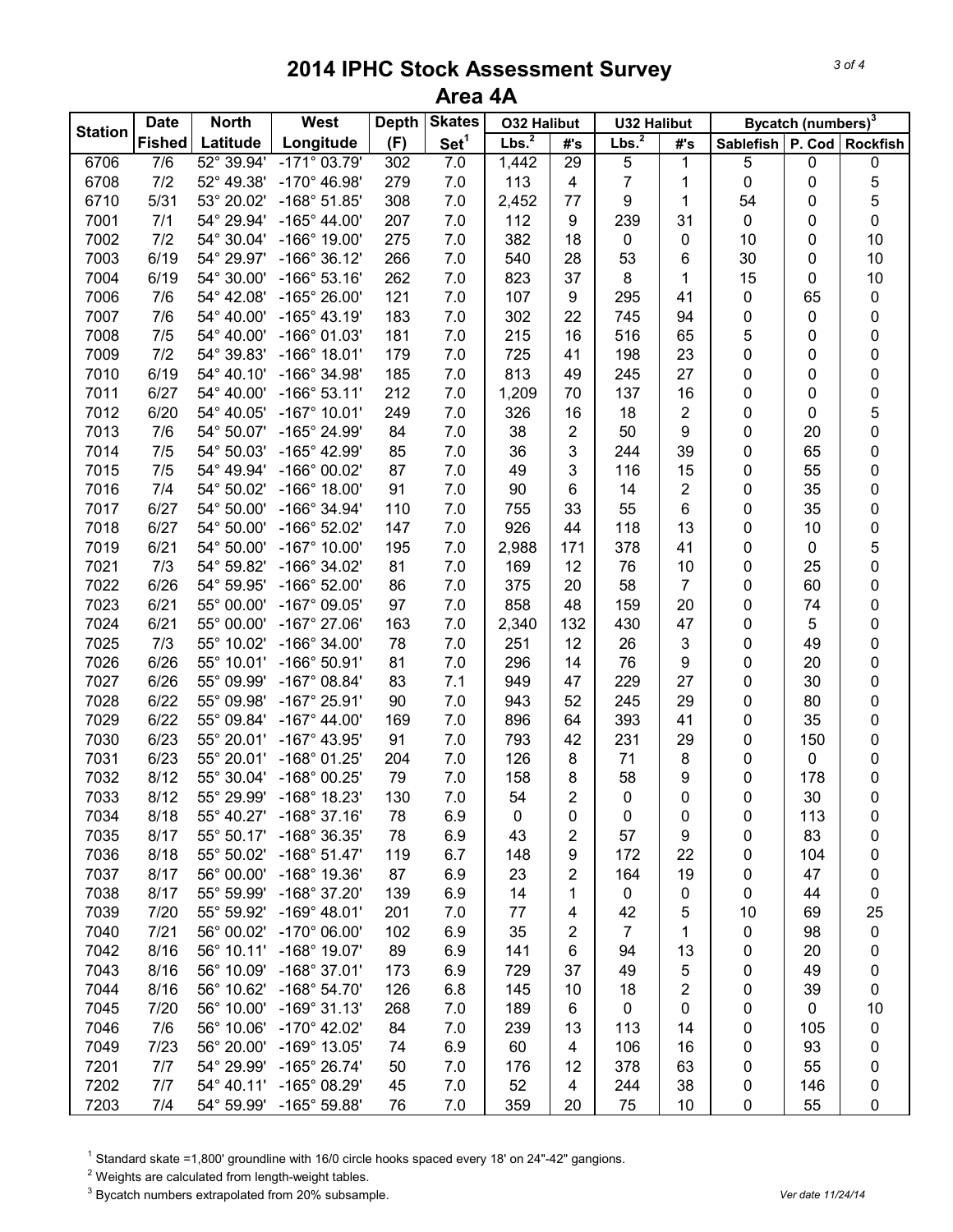|                | <b>Date</b>      | <b>North</b>        | West                    | <b>Skates</b><br><b>Depth</b><br><b>O32 Halibut</b> |                  | <b>U32 Halibut</b> |                 | Bycatch (numbers) <sup>3</sup> |                |                  |        |                     |
|----------------|------------------|---------------------|-------------------------|-----------------------------------------------------|------------------|--------------------|-----------------|--------------------------------|----------------|------------------|--------|---------------------|
| <b>Station</b> | <b>Fished</b>    | Latitude            | Longitude               | (F)                                                 | Set <sup>1</sup> | Lbs. <sup>2</sup>  | #'s             | Lbs. <sup>2</sup>              | #'s            | <b>Sablefish</b> | P. Cod | <b>Rockfish</b>     |
| 6706           | $\overline{7/6}$ | $52^{\circ} 39.94'$ | $-171^{\circ}$ 03.79'   | 302                                                 | 7.0              | 1,442              | $\overline{29}$ | $\overline{5}$                 | 1              | 5                | 0      | 0                   |
| 6708           | 7/2              | 52° 49.38'          | $-170^{\circ}$ 46.98'   | 279                                                 | 7.0              | 113                | 4               | 7                              | 1              | 0                | 0      | 5                   |
| 6710           | 5/31             | 53° 20.02'          | $-168°51.85'$           | 308                                                 | 7.0              | 2,452              | 77              | 9                              | 1              | 54               | 0      | 5                   |
| 7001           | 7/1              | 54° 29.94'          | $-165^{\circ}$ 44.00'   | 207                                                 | 7.0              | 112                | 9               | 239                            | 31             | 0                | 0      | $\mathsf{O}\xspace$ |
| 7002           | 7/2              | 54° 30.04'          | $-166^{\circ}$ 19.00'   | 275                                                 | 7.0              | 382                | 18              | $\pmb{0}$                      | 0              | 10               | 0      | 10                  |
| 7003           | 6/19             | 54° 29.97'          | $-166^{\circ}$ 36.12'   | 266                                                 | $7.0$            | 540                | 28              | 53                             | 6              | 30               | 0      | 10                  |
| 7004           | 6/19             | 54° 30.00'          | $-166°53.16'$           | 262                                                 | $7.0$            | 823                | 37              | 8                              | 1              | 15               | 0      | 10                  |
| 7006           | 7/6              | 54° 42.08'          | -165° 26.00'            | 121                                                 | 7.0              | 107                | 9               | 295                            | 41             | 0                | 65     | $\pmb{0}$           |
| 7007           | 7/6              | 54° 40.00'          | $-165^{\circ}$ 43.19'   | 183                                                 | 7.0              | 302                | 22              | 745                            | 94             | 0                | 0      | 0                   |
| 7008           | 7/5              | 54° 40.00'          | $-166°$ 01.03'          | 181                                                 | 7.0              | 215                | 16              | 516                            | 65             | 5                | 0      | $\mathbf 0$         |
| 7009           | 7/2              | 54° 39.83'          | $-166°$ 18.01'          | 179                                                 | 7.0              | 725                | 41              | 198                            | 23             | 0                | 0      | $\mathbf 0$         |
| 7010           | 6/19             | 54° 40.10'          | -166° 34.98'            | 185                                                 | 7.0              | 813                | 49              | 245                            | 27             | 0                | 0      | 0                   |
| 7011           | 6/27             | 54° 40.00'          | $-166°53.11'$           | 212                                                 | 7.0              | 1,209              | 70              | 137                            | 16             | 0                | 0      | $\mathbf 0$         |
| 7012           | 6/20             | 54° 40.05'          | $-167^{\circ}$ 10.01'   | 249                                                 | 7.0              | 326                | 16              | 18                             | 2              | 0                | 0      | 5                   |
| 7013           | 7/6              | 54° 50.07'          | -165° 24.99'            | 84                                                  | 7.0              | 38                 | 2               | 50                             | 9              | 0                | 20     | $\mathbf 0$         |
| 7014           | 7/5              | 54° 50.03'          | -165° 42.99'            | 85                                                  | 7.0              | 36                 | 3               | 244                            | 39             | 0                | 65     | 0                   |
| 7015           | 7/5              | 54° 49.94'          | -166° 00.02'            | 87                                                  | 7.0              | 49                 | 3               | 116                            | 15             | 0                | 55     | 0                   |
| 7016           | 7/4              | 54° 50.02'          | $-166^{\circ}$ 18.00'   | 91                                                  | 7.0              | 90                 | 6               | 14                             | $\overline{2}$ | 0                | 35     | 0                   |
| 7017           | 6/27             | 54° 50.00'          | -166° 34.94'            | 110                                                 | 7.0              | 755                | 33              | 55                             | 6              | 0                | 35     | $\mathbf 0$         |
| 7018           | 6/27             | 54° 50.00'          | $-166^{\circ}$ 52.02'   | 147                                                 | 7.0              | 926                | 44              | 118                            | 13             | 0                | 10     | 0                   |
| 7019           | 6/21             | 54° 50.00'          | $-167^{\circ}$ 10.00'   | 195                                                 | 7.0              | 2,988              | 171             | 378                            | 41             | 0                | 0      | 5                   |
| 7021           | 7/3              | 54° 59.82'          | $-166^{\circ}$ 34.02'   | 81                                                  | $7.0$            | 169                | 12              | 76                             | 10             | 0                | 25     | $\mathbf 0$         |
| 7022           | 6/26             | 54° 59.95'          | $-166^{\circ}$ 52.00'   | 86                                                  | 7.0              | 375                | 20              | 58                             | $\overline{7}$ | 0                | 60     | $\mathbf 0$         |
| 7023           | 6/21             | 55° 00.00'          | $-167^{\circ}$ 09.05'   | 97                                                  | 7.0              | 858                | 48              | 159                            | 20             | 0                | 74     | 0                   |
| 7024           | 6/21             | 55° 00.00'          | $-167^{\circ}$ 27.06'   | 163                                                 | 7.0              | 2,340              | 132             | 430                            | 47             | 0                | 5      | 0                   |
| 7025           | 7/3              | 55° 10.02'          | $-166^{\circ}$ 34.00'   | 78                                                  | 7.0              | 251                | 12              | 26                             | 3              | 0                | 49     | $\mathbf 0$         |
| 7026           | 6/26             | 55° 10.01'          | $-166°50.91'$           | 81                                                  | 7.0              | 296                | 14              | 76                             | 9              | 0                | 20     | 0                   |
| 7027           | 6/26             | 55° 09.99'          | $-167^\circ$ 08.84'     | 83                                                  | 7.1              | 949                | 47              | 229                            | 27             | 0                | 30     | $\mathbf 0$         |
| 7028           | 6/22             | 55° 09.98'          | $-167^{\circ}$ 25.91'   | 90                                                  | 7.0              | 943                | 52              | 245                            | 29             | 0                | 80     | $\mathbf 0$         |
| 7029           | 6/22             | 55° 09.84'          | $-167^{\circ}$ 44.00'   | 169                                                 | 7.0              | 896                | 64              | 393                            | 41             | 0                | 35     | $\mathbf 0$         |
| 7030           | 6/23             | 55° 20.01'          | $-167^{\circ}$ 43.95'   | 91                                                  | 7.0              | 793                | 42              | 231                            | 29             | 0                | 150    | $\mathbf 0$         |
| 7031           | 6/23             | 55° 20.01'          | -168° 01.25'            | 204                                                 | 7.0              | 126                | 8               | 71                             | 8              | 0                | 0      | 0                   |
| 7032           | 8/12             | 55° 30.04'          | -168° 00.25'            | 79                                                  | 7.0              | 158                | 8               | 58                             | 9              | 0                | 178    | 0                   |
| 7033           | 8/12             | 55° 29.99'          | -168° 18.23'            | 130                                                 | 7.0              | 54                 | $\overline{2}$  | 0                              | 0              | 0                | 30     | $\pmb{0}$           |
| 7034           | 8/18             | 55° 40.27'          | $-168°37.16'$           | 78                                                  | 6.9              | $\pmb{0}$          | 0               | $\mathbf 0$                    | 0              | 0                | 113    | 0                   |
| 7035           | 8/17             | 55° 50.17'          | -168° 36.35'            | 78                                                  | 6.9              | 43                 | $\overline{2}$  | 57                             | 9              | 0                | 83     | 0                   |
| 7036           | 8/18             | 55° 50.02'          | $-168^{\circ}$ 51.47'   | 119                                                 | 6.7              | 148                | 9               | 172                            | 22             | 0                | 104    | 0                   |
| 7037           | 8/17             | 56° 00.00'          | -168° 19.36'            | 87                                                  | 6.9              | 23                 | $\overline{2}$  | 164                            | 19             | 0                | 47     | 0                   |
| 7038           | 8/17             | 55° 59.99'          | -168° 37.20'            | 139                                                 | 6.9              | 14                 | 1               | 0                              | 0              | 0                | 44     | $\pmb{0}$           |
| 7039           | 7/20             | 55° 59.92'          | $-169°$ 48.01'          | 201                                                 | 7.0              | 77                 | 4               | 42                             | 5              | 10               | 69     | 25                  |
| 7040           | 7/21             | 56° 00.02'          | $-170^{\circ}$ 06.00'   | 102                                                 | 6.9              | 35                 | 2               | $\overline{7}$                 | 1              | 0                | 98     | 0                   |
| 7042           | 8/16             | 56° 10.11'          | $-168^\circ$ 19.07'     | 89                                                  | 6.9              | 141                | 6               | 94                             | 13             | 0                | 20     | 0                   |
| 7043           | 8/16             | 56° 10.09'          | $-168°37.01'$           | 173                                                 | 6.9              | 729                | 37              | 49                             | 5              | 0                | 49     | 0                   |
| 7044           | 8/16             | 56° 10.62'          | $-168^{\circ} 54.70'$   | 126                                                 | 6.8              | 145                | 10              | 18                             | 2              | 0                | 39     | 0                   |
| 7045           | 7/20             | 56° 10.00'          | $-169°$ 31.13'          | 268                                                 | 7.0              | 189                | 6               | 0                              | 0              | 0                | 0      | 10                  |
| 7046           | 7/6              | 56° 10.06'          | $-170^{\circ}$ 42.02'   | 84                                                  | 7.0              | 239                | 13              | 113                            | 14             | 0                | 105    | 0                   |
| 7049           | 7/23             | 56° 20.00'          | $-169°$ 13.05'          | 74                                                  | 6.9              | 60                 | 4               | 106                            | 16             | 0                | 93     | 0                   |
| 7201           | 7/7              | 54° 29.99'          | $-165^{\circ}$ 26.74'   | 50                                                  | 7.0              | 176                | 12              | 378                            | 63             | 0                | 55     | 0                   |
| 7202           | 7/7              | 54° 40.11'          | $-165^{\circ}$ 08.29'   | 45                                                  | 7.0              | 52                 | 4               | 244                            | 38             | 0                | 146    | 0                   |
| 7203           | 7/4              |                     | 54° 59.99' -165° 59.88' | 76                                                  | 7.0              | 359                | 20              | 75                             | 10             | $\pmb{0}$        | 55     | 0                   |

<sup>1</sup> Standard skate =1,800' groundline with 16/0 circle hooks spaced every 18' on 24"-42" gangions.

Weights are calculated from length-weight tables.

<sup>3</sup> Bycatch numbers extrapolated from 20% subsample. *Vertal and the strape of the strape of the three filtheria* **control of the strape of the strape of the strape of the strape of the strape of the strape of the strape o**